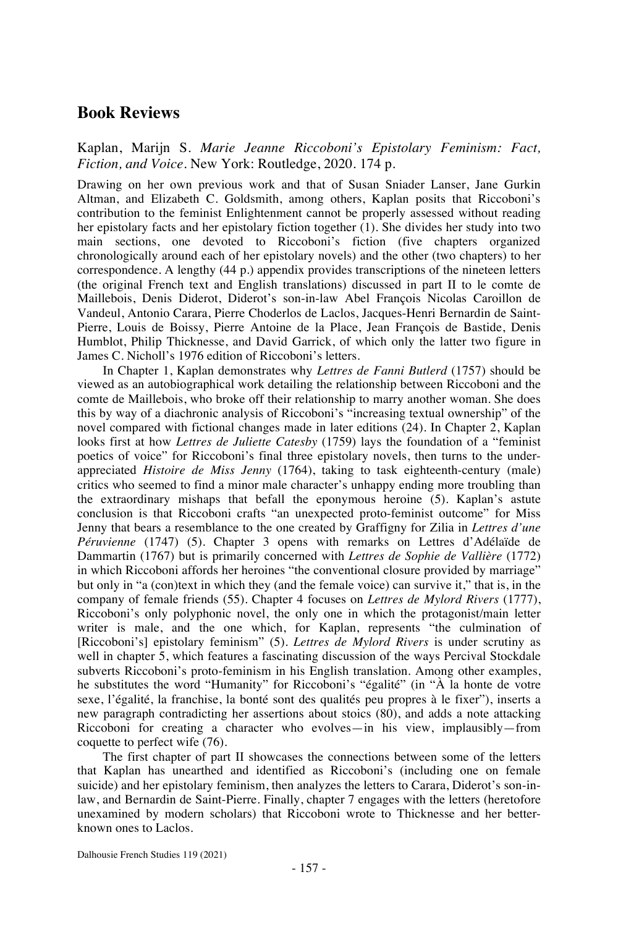## **Book Reviews**

Kaplan, Marijn S. *Marie Jeanne Riccoboni's Epistolary Feminism: Fact, Fiction, and Voice*. New York: Routledge, 2020. 174 p.

Drawing on her own previous work and that of Susan Sniader Lanser, Jane Gurkin Altman, and Elizabeth C. Goldsmith, among others, Kaplan posits that Riccoboni's contribution to the feminist Enlightenment cannot be properly assessed without reading her epistolary facts and her epistolary fiction together (1). She divides her study into two main sections, one devoted to Riccoboni's fiction (five chapters organized chronologically around each of her epistolary novels) and the other (two chapters) to her correspondence. A lengthy (44 p.) appendix provides transcriptions of the nineteen letters (the original French text and English translations) discussed in part II to le comte de Maillebois, Denis Diderot, Diderot's son-in-law Abel François Nicolas Caroillon de Vandeul, Antonio Carara, Pierre Choderlos de Laclos, Jacques-Henri Bernardin de Saint-Pierre, Louis de Boissy, Pierre Antoine de la Place, Jean François de Bastide, Denis Humblot, Philip Thicknesse, and David Garrick, of which only the latter two figure in James C. Nicholl's 1976 edition of Riccoboni's letters.

In Chapter 1, Kaplan demonstrates why *Lettres de Fanni Butlerd* (1757) should be viewed as an autobiographical work detailing the relationship between Riccoboni and the comte de Maillebois, who broke off their relationship to marry another woman. She does this by way of a diachronic analysis of Riccoboni's "increasing textual ownership" of the novel compared with fictional changes made in later editions (24). In Chapter 2, Kaplan looks first at how *Lettres de Juliette Catesby* (1759) lays the foundation of a "feminist poetics of voice" for Riccoboni's final three epistolary novels, then turns to the underappreciated *Histoire de Miss Jenny* (1764), taking to task eighteenth-century (male) critics who seemed to find a minor male character's unhappy ending more troubling than the extraordinary mishaps that befall the eponymous heroine (5). Kaplan's astute conclusion is that Riccoboni crafts "an unexpected proto-feminist outcome" for Miss Jenny that bears a resemblance to the one created by Graffigny for Zilia in *Lettres d'une Péruvienne* (1747) (5). Chapter 3 opens with remarks on Lettres d'Adélaïde de Dammartin (1767) but is primarily concerned with *Lettres de Sophie de Vallière* (1772) in which Riccoboni affords her heroines "the conventional closure provided by marriage" but only in "a (con)text in which they (and the female voice) can survive it," that is, in the company of female friends (55). Chapter 4 focuses on *Lettres de Mylord Rivers* (1777), Riccoboni's only polyphonic novel, the only one in which the protagonist/main letter writer is male, and the one which, for Kaplan, represents "the culmination of [Riccoboni's] epistolary feminism" (5). *Lettres de Mylord Rivers* is under scrutiny as well in chapter 5, which features a fascinating discussion of the ways Percival Stockdale subverts Riccoboni's proto-feminism in his English translation. Among other examples, he substitutes the word "Humanity" for Riccoboni's "égalité" (in "À la honte de votre sexe, l'égalité, la franchise, la bonté sont des qualités peu propres à le fixer"), inserts a new paragraph contradicting her assertions about stoics (80), and adds a note attacking Riccoboni for creating a character who evolves—in his view, implausibly—from coquette to perfect wife (76).

The first chapter of part II showcases the connections between some of the letters that Kaplan has unearthed and identified as Riccoboni's (including one on female suicide) and her epistolary feminism, then analyzes the letters to Carara, Diderot's son-inlaw, and Bernardin de Saint-Pierre. Finally, chapter 7 engages with the letters (heretofore unexamined by modern scholars) that Riccoboni wrote to Thicknesse and her betterknown ones to Laclos.

Dalhousie French Studies 119 (2021)